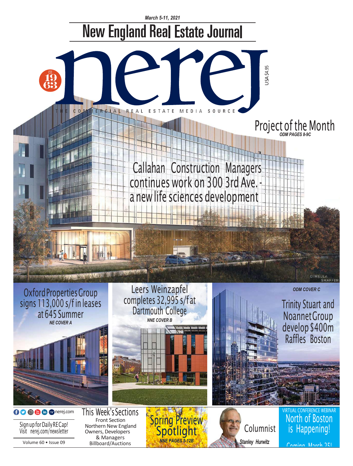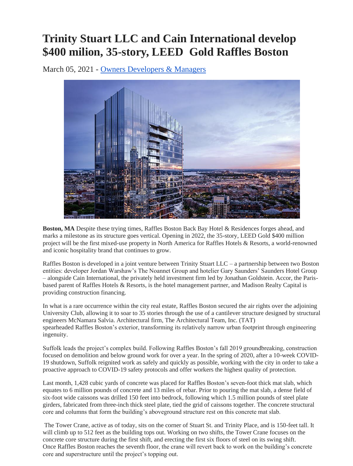## **Trinity Stuart LLC and Cain International develop \$400 milion, 35-story, LEED Gold Raffles Boston**

March 05, 2021 - [Owners Developers & Managers](https://nerej.com/section/ODM)



**Boston, MA** Despite these trying times, Raffles Boston Back Bay Hotel & Residences forges ahead, and marks a milestone as its structure goes vertical. Opening in 2022, the 35-story, LEED Gold \$400 million project will be the first mixed-use property in North America for Raffles Hotels & Resorts, a world-renowned and iconic hospitality brand that continues to grow.

Raffles Boston is developed in a joint venture between Trinity Stuart LLC – a partnership between two Boston entities: developer Jordan Warshaw's The Noannet Group and hotelier Gary Saunders' Saunders Hotel Group – alongside Cain International, the privately held investment firm led by Jonathan Goldstein. Accor, the Parisbased parent of Raffles Hotels & Resorts, is the hotel management partner, and Madison Realty Capital is providing construction financing.

In what is a rare occurrence within the city real estate, Raffles Boston secured the air rights over the adjoining University Club, allowing it to soar to 35 stories through the use of a cantilever structure designed by structural engineers McNamara Salvia. Architectural firm, The Architectural Team, Inc. (TAT) spearheaded Raffles Boston's exterior, transforming its relatively narrow urban footprint through engineering ingenuity.

Suffolk leads the project's complex build. Following Raffles Boston's fall 2019 groundbreaking, construction focused on demolition and below ground work for over a year. In the spring of 2020, after a 10-week COVID-19 shutdown, Suffolk reignited work as safely and quickly as possible, working with the city in order to take a proactive approach to COVID-19 safety protocols and offer workers the highest quality of protection.

Last month, 1,428 cubic yards of concrete was placed for Raffles Boston's seven-foot thick mat slab, which equates to 6 million pounds of concrete and 13 miles of rebar. Prior to pouring the mat slab, a dense field of six-foot wide caissons was drilled 150 feet into bedrock, following which 1.5 million pounds of steel plate girders, fabricated from three-inch thick steel plate, tied the grid of caissons together. The concrete structural core and columns that form the building's aboveground structure rest on this concrete mat slab.

The Tower Crane, active as of today, sits on the corner of Stuart St. and Trinity Place, and is 150-feet tall. It will climb up to 512 feet as the building tops out. Working on two shifts, the Tower Crane focuses on the concrete core structure during the first shift, and erecting the first six floors of steel on its swing shift. Once Raffles Boston reaches the seventh floor, the crane will revert back to work on the building's concrete core and superstructure until the project's topping out.